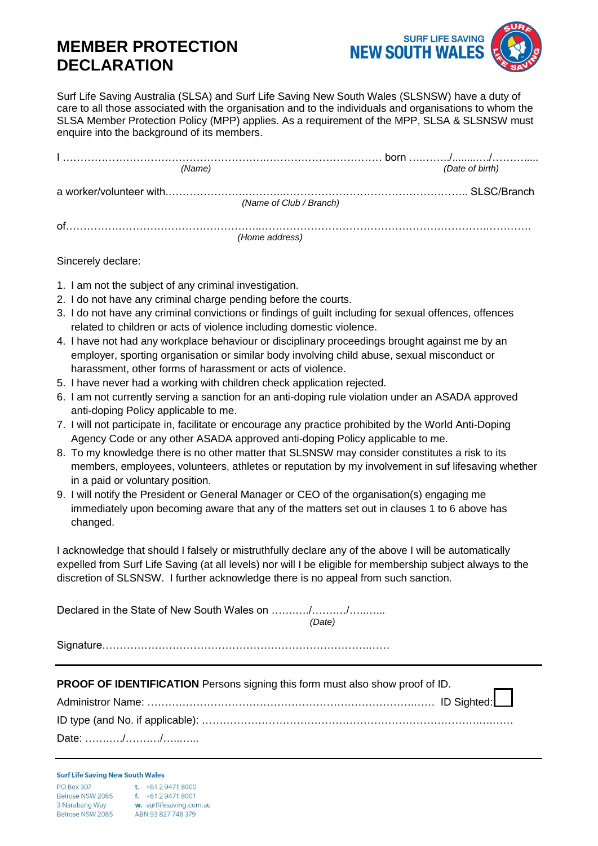## **MEMBER PROTECTION DECLARATION**



Surf Life Saving Australia (SLSA) and Surf Life Saving New South Wales (SLSNSW) have a duty of care to all those associated with the organisation and to the individuals and organisations to whom the SLSA Member Protection Policy (MPP) applies. As a requirement of the MPP, SLSA & SLSNSW must enquire into the background of its members.

| (Name) | (Date of birth)         |
|--------|-------------------------|
|        | (Name of Club / Branch) |
| Ωf     | (Home address)          |

Sincerely declare:

- 1. I am not the subject of any criminal investigation.
- 2. I do not have any criminal charge pending before the courts.
- 3. I do not have any criminal convictions or findings of guilt including for sexual offences, offences related to children or acts of violence including domestic violence.
- 4. I have not had any workplace behaviour or disciplinary proceedings brought against me by an employer, sporting organisation or similar body involving child abuse, sexual misconduct or harassment, other forms of harassment or acts of violence.
- 5. I have never had a working with children check application rejected.
- 6. I am not currently serving a sanction for an anti-doping rule violation under an ASADA approved anti-doping Policy applicable to me.
- 7. I will not participate in, facilitate or encourage any practice prohibited by the World Anti-Doping Agency Code or any other ASADA approved anti-doping Policy applicable to me.
- 8. To my knowledge there is no other matter that SLSNSW may consider constitutes a risk to its members, employees, volunteers, athletes or reputation by my involvement in suf lifesaving whether in a paid or voluntary position.
- 9. I will notify the President or General Manager or CEO of the organisation(s) engaging me immediately upon becoming aware that any of the matters set out in clauses 1 to 6 above has changed.

I acknowledge that should I falsely or mistruthfully declare any of the above I will be automatically expelled from Surf Life Saving (at all levels) nor will I be eligible for membership subject always to the discretion of SLSNSW. I further acknowledge there is no appeal from such sanction.

Declared in the State of New South Wales on ………../………./………… *(Date)*

Signature………………………………………………………………….……

| <b>PROOF OF IDENTIFICATION</b> Persons signing this form must also show proof of ID. |  |  |
|--------------------------------------------------------------------------------------|--|--|
|                                                                                      |  |  |
|                                                                                      |  |  |
| Date: $\ldots \ldots \ldots \ldots \ldots \ldots$                                    |  |  |

## **Surf Life Saving New South Wales**  $t. +61294718000$ **PO Box 307**  $B<sub>6</sub>$

| Belrose NSW 2085 | $f. +61294718001$        |
|------------------|--------------------------|
| 3 Narabang Way   | w. surflifesaving.com.au |
| Belrose NSW 2085 | ABN 93 827 748 379       |
|                  |                          |